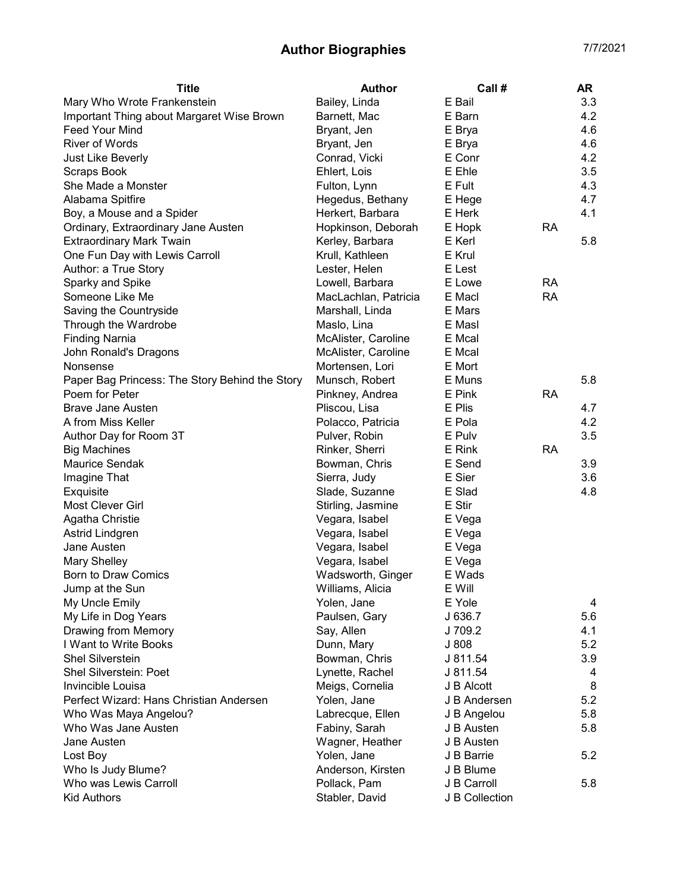## Author Biographies 7/7/2021

| <b>Title</b>                                   | <b>Author</b>        | Call#          |           | AR  |
|------------------------------------------------|----------------------|----------------|-----------|-----|
| Mary Who Wrote Frankenstein                    | Bailey, Linda        | E Bail         |           | 3.3 |
| Important Thing about Margaret Wise Brown      | Barnett, Mac         | E Barn         |           | 4.2 |
| Feed Your Mind                                 | Bryant, Jen          | E Brya         |           | 4.6 |
| <b>River of Words</b>                          | Bryant, Jen          | E Brya         |           | 4.6 |
| Just Like Beverly                              | Conrad, Vicki        | E Conr         |           | 4.2 |
| <b>Scraps Book</b>                             | Ehlert, Lois         | E Ehle         |           | 3.5 |
| She Made a Monster                             | Fulton, Lynn         | E Fult         |           | 4.3 |
| Alabama Spitfire                               | Hegedus, Bethany     | E Hege         |           | 4.7 |
| Boy, a Mouse and a Spider                      | Herkert, Barbara     | E Herk         |           | 4.1 |
| Ordinary, Extraordinary Jane Austen            | Hopkinson, Deborah   | E Hopk         | RA        |     |
| <b>Extraordinary Mark Twain</b>                | Kerley, Barbara      | E Kerl         |           | 5.8 |
| One Fun Day with Lewis Carroll                 | Krull, Kathleen      | E Krul         |           |     |
| Author: a True Story                           | Lester, Helen        | E Lest         |           |     |
| Sparky and Spike                               | Lowell, Barbara      | E Lowe         | <b>RA</b> |     |
| Someone Like Me                                | MacLachlan, Patricia | E Macl         | <b>RA</b> |     |
| Saving the Countryside                         | Marshall, Linda      | E Mars         |           |     |
| Through the Wardrobe                           | Maslo, Lina          | E Masl         |           |     |
| <b>Finding Narnia</b>                          | McAlister, Caroline  | E Mcal         |           |     |
| John Ronald's Dragons                          | McAlister, Caroline  | E Mcal         |           |     |
| Nonsense                                       | Mortensen, Lori      | E Mort         |           |     |
| Paper Bag Princess: The Story Behind the Story | Munsch, Robert       | E Muns         |           | 5.8 |
| Poem for Peter                                 | Pinkney, Andrea      | E Pink         | <b>RA</b> |     |
| <b>Brave Jane Austen</b>                       | Pliscou, Lisa        | E Plis         |           | 4.7 |
| A from Miss Keller                             | Polacco, Patricia    | E Pola         |           | 4.2 |
| Author Day for Room 3T                         | Pulver, Robin        | E Pulv         |           | 3.5 |
| <b>Big Machines</b>                            | Rinker, Sherri       | E Rink         | <b>RA</b> |     |
| <b>Maurice Sendak</b>                          | Bowman, Chris        | E Send         |           | 3.9 |
| Imagine That                                   | Sierra, Judy         | E Sier         |           | 3.6 |
| Exquisite                                      | Slade, Suzanne       | E Slad         |           | 4.8 |
| Most Clever Girl                               | Stirling, Jasmine    | E Stir         |           |     |
| Agatha Christie                                | Vegara, Isabel       | E Vega         |           |     |
| Astrid Lindgren                                | Vegara, Isabel       | E Vega         |           |     |
| Jane Austen                                    | Vegara, Isabel       | E Vega         |           |     |
| <b>Mary Shelley</b>                            | Vegara, Isabel       | E Vega         |           |     |
| Born to Draw Comics                            | Wadsworth, Ginger    | E Wads         |           |     |
| Jump at the Sun                                | Williams, Alicia     | E Will         |           |     |
| My Uncle Emily                                 | Yolen, Jane          | E Yole         |           | 4   |
| My Life in Dog Years                           | Paulsen, Gary        | J 636.7        |           | 5.6 |
| Drawing from Memory                            | Say, Allen           | J 709.2        |           | 4.1 |
| I Want to Write Books                          | Dunn, Mary           | J 808          |           | 5.2 |
| <b>Shel Silverstein</b>                        | Bowman, Chris        | J 811.54       |           | 3.9 |
| <b>Shel Silverstein: Poet</b>                  | Lynette, Rachel      | J 811.54       |           | 4   |
| Invincible Louisa                              | Meigs, Cornelia      | J B Alcott     |           | 8   |
| Perfect Wizard: Hans Christian Andersen        | Yolen, Jane          | J B Andersen   |           | 5.2 |
| Who Was Maya Angelou?                          | Labrecque, Ellen     | J B Angelou    |           | 5.8 |
| Who Was Jane Austen                            | Fabiny, Sarah        | J B Austen     |           | 5.8 |
| Jane Austen                                    | Wagner, Heather      | J B Austen     |           |     |
| Lost Boy                                       | Yolen, Jane          | J B Barrie     |           | 5.2 |
| Who Is Judy Blume?                             | Anderson, Kirsten    | J B Blume      |           |     |
| Who was Lewis Carroll                          | Pollack, Pam         | J B Carroll    |           | 5.8 |
| <b>Kid Authors</b>                             | Stabler, David       | J B Collection |           |     |